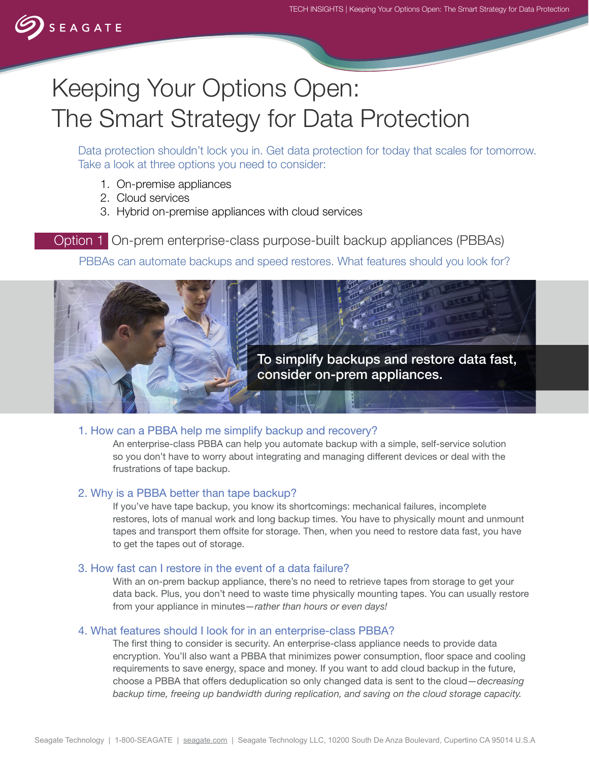# Keeping Your Options Open: The Smart Strategy for Data Protection

Data protection shouldn't lock you in. Get data protection for today that scales for tomorrow. Take a look at three options you need to consider:

- 1. On-premise appliances
- 2. Cloud services
- 3. Hybrid on-premise appliances with cloud services

Option 1 On-prem enterprise-class purpose-built backup appliances (PBBAs)

PBBAs can automate backups and speed restores. What features should you look for?



#### 1. How can a PBBA help me simplify backup and recovery?

An enterprise-class PBBA can help you automate backup with a simple, self-service solution so you don't have to worry about integrating and managing different devices or deal with the frustrations of tape backup.

#### 2. Why is a PBBA better than tape backup?

If you've have tape backup, you know its shortcomings: mechanical failures, incomplete restores, lots of manual work and long backup times. You have to physically mount and unmount tapes and transport them offsite for storage. Then, when you need to restore data fast, you have to get the tapes out of storage.

#### 3. How fast can I restore in the event of a data failure?

With an on-prem backup appliance, there's no need to retrieve tapes from storage to get your data back. Plus, you don't need to waste time physically mounting tapes. You can usually restore from your appliance in minutes—*rather than hours or even days!*

#### 4. What features should I look for in an enterprise-class PBBA?

The first thing to consider is security. An enterprise-class appliance needs to provide data encryption. You'll also want a PBBA that minimizes power consumption, floor space and cooling requirements to save energy, space and money. If you want to add cloud backup in the future, choose a PBBA that offers deduplication so only changed data is sent to the cloud—*decreasing backup time, freeing up bandwidth during replication, and saving on the cloud storage capacity.*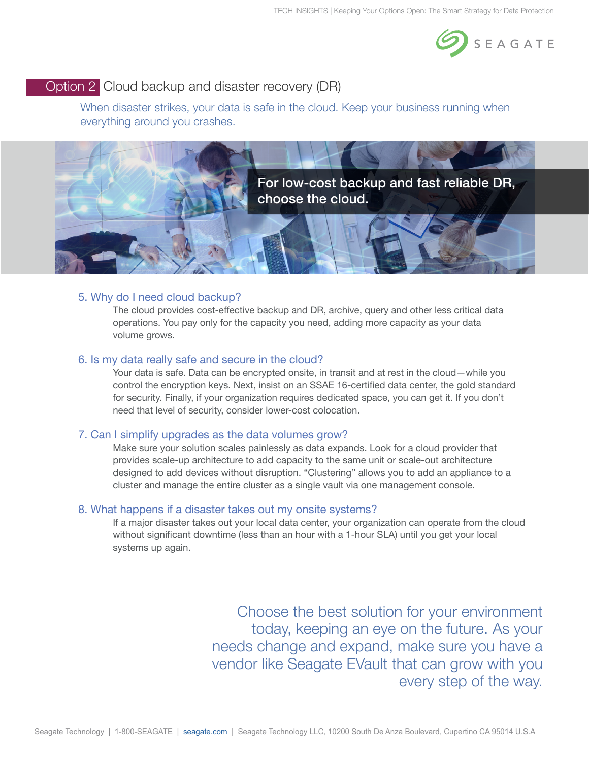

# Option 2 Cloud backup and disaster recovery (DR)

When disaster strikes, your data is safe in the cloud. Keep your business running when everything around you crashes.



## 5. Why do I need cloud backup?

The cloud provides cost-effective backup and DR, archive, query and other less critical data operations. You pay only for the capacity you need, adding more capacity as your data volume grows.

#### 6. Is my data really safe and secure in the cloud?

Your data is safe. Data can be encrypted onsite, in transit and at rest in the cloud—while you control the encryption keys. Next, insist on an SSAE 16-certified data center, the gold standard for security. Finally, if your organization requires dedicated space, you can get it. If you don't need that level of security, consider lower-cost colocation.

#### 7. Can I simplify upgrades as the data volumes grow?

Make sure your solution scales painlessly as data expands. Look for a cloud provider that provides scale-up architecture to add capacity to the same unit or scale-out architecture designed to add devices without disruption. "Clustering" allows you to add an appliance to a cluster and manage the entire cluster as a single vault via one management console.

#### 8. What happens if a disaster takes out my onsite systems?

If a major disaster takes out your local data center, your organization can operate from the cloud without significant downtime (less than an hour with a 1-hour SLA) until you get your local systems up again.

> Choose the best solution for your environment today, keeping an eye on the future. As your needs change and expand, make sure you have a vendor like Seagate EVault that can grow with you every step of the way.